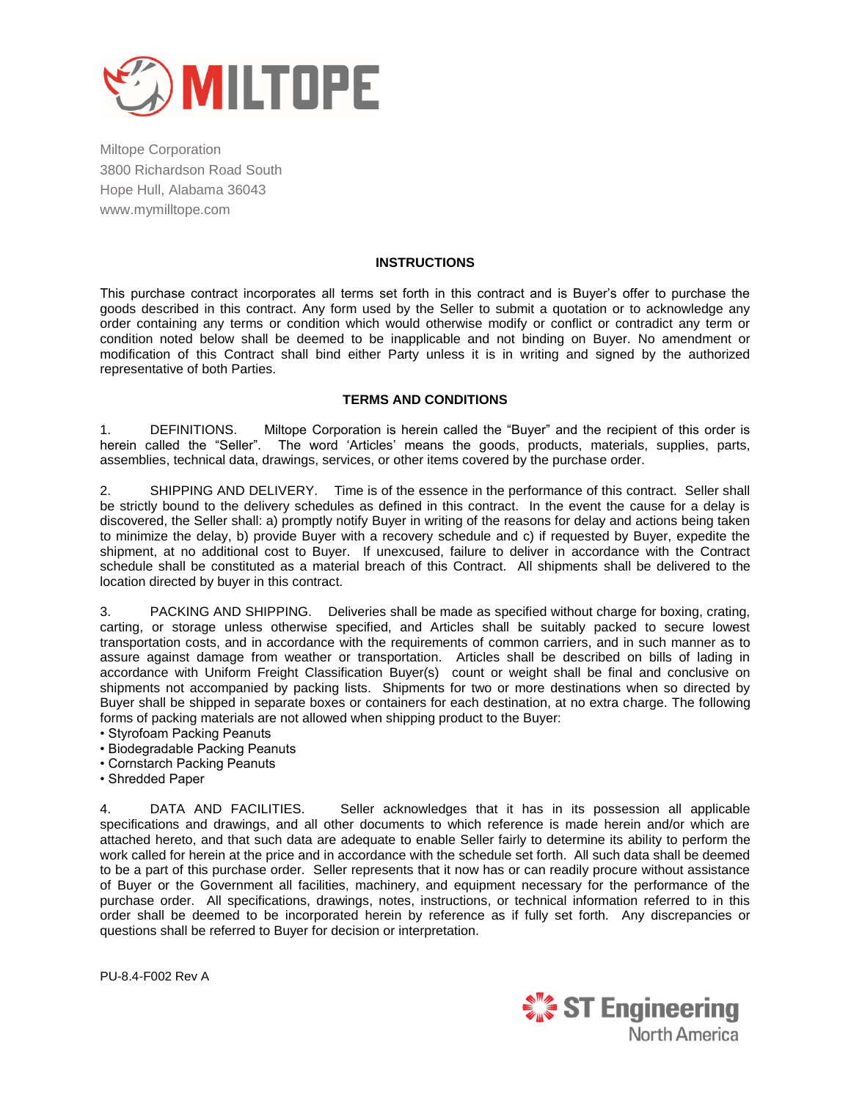

## **INSTRUCTIONS**

This purchase contract incorporates all terms set forth in this contract and is Buyer"s offer to purchase the goods described in this contract. Any form used by the Seller to submit a quotation or to acknowledge any order containing any terms or condition which would otherwise modify or conflict or contradict any term or condition noted below shall be deemed to be inapplicable and not binding on Buyer. No amendment or modification of this Contract shall bind either Party unless it is in writing and signed by the authorized representative of both Parties.

## **TERMS AND CONDITIONS**

1. DEFINITIONS. Miltope Corporation is herein called the "Buyer" and the recipient of this order is herein called the "Seller". The word "Articles" means the goods, products, materials, supplies, parts, assemblies, technical data, drawings, services, or other items covered by the purchase order.

2. SHIPPING AND DELIVERY. Time is of the essence in the performance of this contract. Seller shall be strictly bound to the delivery schedules as defined in this contract. In the event the cause for a delay is discovered, the Seller shall: a) promptly notify Buyer in writing of the reasons for delay and actions being taken to minimize the delay, b) provide Buyer with a recovery schedule and c) if requested by Buyer, expedite the shipment, at no additional cost to Buyer. If unexcused, failure to deliver in accordance with the Contract schedule shall be constituted as a material breach of this Contract. All shipments shall be delivered to the location directed by buyer in this contract.

3. PACKING AND SHIPPING. Deliveries shall be made as specified without charge for boxing, crating, carting, or storage unless otherwise specified, and Articles shall be suitably packed to secure lowest transportation costs, and in accordance with the requirements of common carriers, and in such manner as to assure against damage from weather or transportation. Articles shall be described on bills of lading in accordance with Uniform Freight Classification Buyer(s) count or weight shall be final and conclusive on shipments not accompanied by packing lists. Shipments for two or more destinations when so directed by Buyer shall be shipped in separate boxes or containers for each destination, at no extra charge. The following forms of packing materials are not allowed when shipping product to the Buyer:

- Styrofoam Packing Peanuts
- Biodegradable Packing Peanuts
- Cornstarch Packing Peanuts
- Shredded Paper

4. DATA AND FACILITIES. Seller acknowledges that it has in its possession all applicable specifications and drawings, and all other documents to which reference is made herein and/or which are attached hereto, and that such data are adequate to enable Seller fairly to determine its ability to perform the work called for herein at the price and in accordance with the schedule set forth. All such data shall be deemed to be a part of this purchase order. Seller represents that it now has or can readily procure without assistance of Buyer or the Government all facilities, machinery, and equipment necessary for the performance of the purchase order. All specifications, drawings, notes, instructions, or technical information referred to in this order shall be deemed to be incorporated herein by reference as if fully set forth. Any discrepancies or questions shall be referred to Buyer for decision or interpretation.

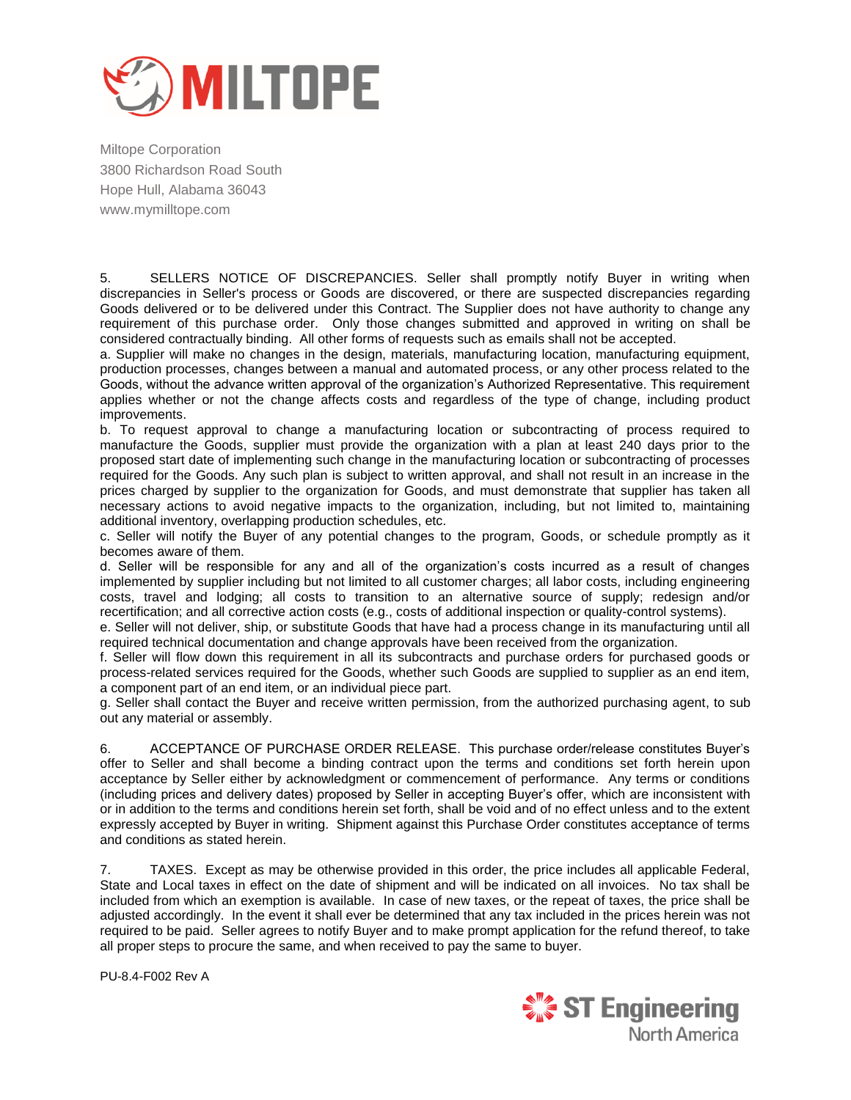

5. SELLERS NOTICE OF DISCREPANCIES. Seller shall promptly notify Buyer in writing when discrepancies in Seller's process or Goods are discovered, or there are suspected discrepancies regarding Goods delivered or to be delivered under this Contract. The Supplier does not have authority to change any requirement of this purchase order. Only those changes submitted and approved in writing on shall be considered contractually binding. All other forms of requests such as emails shall not be accepted.

a. Supplier will make no changes in the design, materials, manufacturing location, manufacturing equipment, production processes, changes between a manual and automated process, or any other process related to the Goods, without the advance written approval of the organization"s Authorized Representative. This requirement applies whether or not the change affects costs and regardless of the type of change, including product improvements.

b. To request approval to change a manufacturing location or subcontracting of process required to manufacture the Goods, supplier must provide the organization with a plan at least 240 days prior to the proposed start date of implementing such change in the manufacturing location or subcontracting of processes required for the Goods. Any such plan is subject to written approval, and shall not result in an increase in the prices charged by supplier to the organization for Goods, and must demonstrate that supplier has taken all necessary actions to avoid negative impacts to the organization, including, but not limited to, maintaining additional inventory, overlapping production schedules, etc.

c. Seller will notify the Buyer of any potential changes to the program, Goods, or schedule promptly as it becomes aware of them.

d. Seller will be responsible for any and all of the organization"s costs incurred as a result of changes implemented by supplier including but not limited to all customer charges; all labor costs, including engineering costs, travel and lodging; all costs to transition to an alternative source of supply; redesign and/or recertification; and all corrective action costs (e.g., costs of additional inspection or quality-control systems).

e. Seller will not deliver, ship, or substitute Goods that have had a process change in its manufacturing until all required technical documentation and change approvals have been received from the organization.

f. Seller will flow down this requirement in all its subcontracts and purchase orders for purchased goods or process-related services required for the Goods, whether such Goods are supplied to supplier as an end item, a component part of an end item, or an individual piece part.

g. Seller shall contact the Buyer and receive written permission, from the authorized purchasing agent, to sub out any material or assembly.

6. ACCEPTANCE OF PURCHASE ORDER RELEASE. This purchase order/release constitutes Buyer"s offer to Seller and shall become a binding contract upon the terms and conditions set forth herein upon acceptance by Seller either by acknowledgment or commencement of performance. Any terms or conditions (including prices and delivery dates) proposed by Seller in accepting Buyer"s offer, which are inconsistent with or in addition to the terms and conditions herein set forth, shall be void and of no effect unless and to the extent expressly accepted by Buyer in writing. Shipment against this Purchase Order constitutes acceptance of terms and conditions as stated herein.

7. TAXES. Except as may be otherwise provided in this order, the price includes all applicable Federal, State and Local taxes in effect on the date of shipment and will be indicated on all invoices. No tax shall be included from which an exemption is available. In case of new taxes, or the repeat of taxes, the price shall be adjusted accordingly. In the event it shall ever be determined that any tax included in the prices herein was not required to be paid. Seller agrees to notify Buyer and to make prompt application for the refund thereof, to take all proper steps to procure the same, and when received to pay the same to buyer.

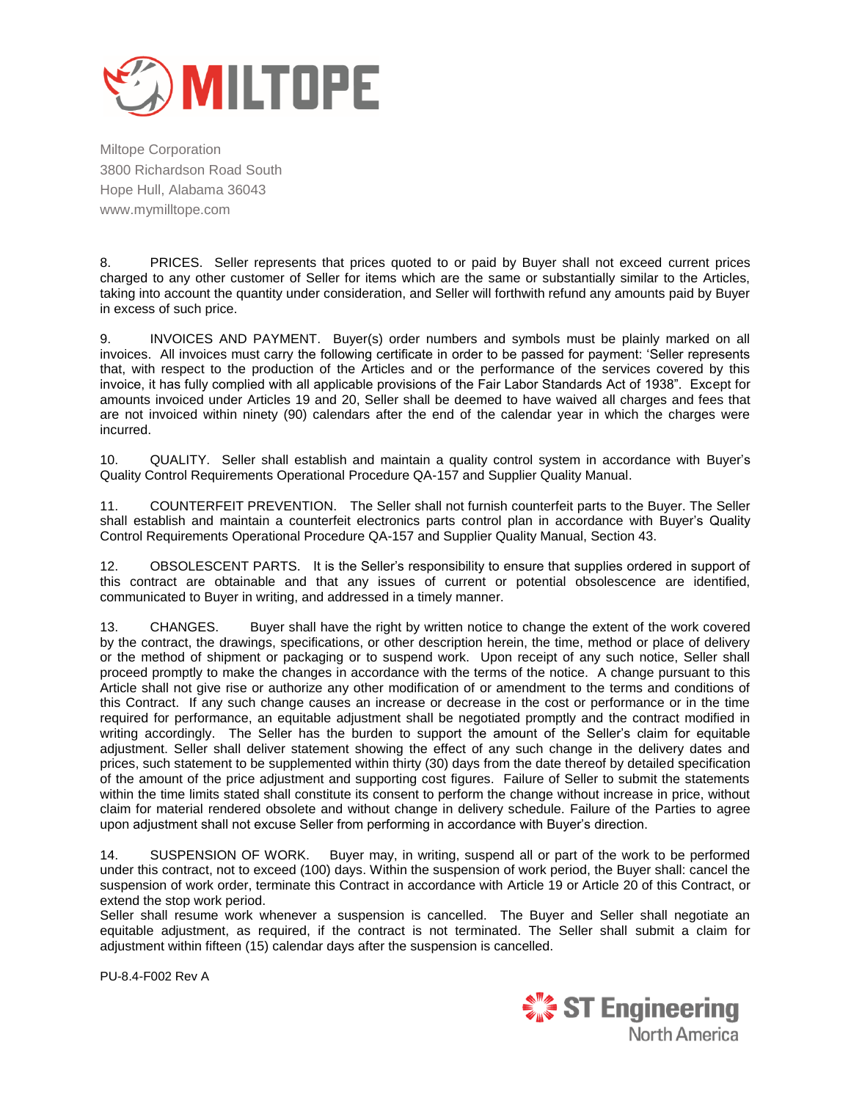

8. PRICES. Seller represents that prices quoted to or paid by Buyer shall not exceed current prices charged to any other customer of Seller for items which are the same or substantially similar to the Articles, taking into account the quantity under consideration, and Seller will forthwith refund any amounts paid by Buyer in excess of such price.

9. INVOICES AND PAYMENT. Buyer(s) order numbers and symbols must be plainly marked on all invoices. All invoices must carry the following certificate in order to be passed for payment: "Seller represents that, with respect to the production of the Articles and or the performance of the services covered by this invoice, it has fully complied with all applicable provisions of the Fair Labor Standards Act of 1938". Except for amounts invoiced under Articles 19 and 20, Seller shall be deemed to have waived all charges and fees that are not invoiced within ninety (90) calendars after the end of the calendar year in which the charges were incurred.

10. QUALITY. Seller shall establish and maintain a quality control system in accordance with Buyer"s Quality Control Requirements Operational Procedure QA-157 and Supplier Quality Manual.

11. COUNTERFEIT PREVENTION. The Seller shall not furnish counterfeit parts to the Buyer. The Seller shall establish and maintain a counterfeit electronics parts control plan in accordance with Buyer"s Quality Control Requirements Operational Procedure QA-157 and Supplier Quality Manual, Section 43.

12. OBSOLESCENT PARTS. It is the Seller"s responsibility to ensure that supplies ordered in support of this contract are obtainable and that any issues of current or potential obsolescence are identified, communicated to Buyer in writing, and addressed in a timely manner.

13. CHANGES. Buyer shall have the right by written notice to change the extent of the work covered by the contract, the drawings, specifications, or other description herein, the time, method or place of delivery or the method of shipment or packaging or to suspend work. Upon receipt of any such notice, Seller shall proceed promptly to make the changes in accordance with the terms of the notice. A change pursuant to this Article shall not give rise or authorize any other modification of or amendment to the terms and conditions of this Contract. If any such change causes an increase or decrease in the cost or performance or in the time required for performance, an equitable adjustment shall be negotiated promptly and the contract modified in writing accordingly. The Seller has the burden to support the amount of the Seller"s claim for equitable adjustment. Seller shall deliver statement showing the effect of any such change in the delivery dates and prices, such statement to be supplemented within thirty (30) days from the date thereof by detailed specification of the amount of the price adjustment and supporting cost figures. Failure of Seller to submit the statements within the time limits stated shall constitute its consent to perform the change without increase in price, without claim for material rendered obsolete and without change in delivery schedule. Failure of the Parties to agree upon adjustment shall not excuse Seller from performing in accordance with Buyer"s direction.

14. SUSPENSION OF WORK. Buyer may, in writing, suspend all or part of the work to be performed under this contract, not to exceed (100) days. Within the suspension of work period, the Buyer shall: cancel the suspension of work order, terminate this Contract in accordance with Article 19 or Article 20 of this Contract, or extend the stop work period.

Seller shall resume work whenever a suspension is cancelled. The Buyer and Seller shall negotiate an equitable adjustment, as required, if the contract is not terminated. The Seller shall submit a claim for adjustment within fifteen (15) calendar days after the suspension is cancelled.

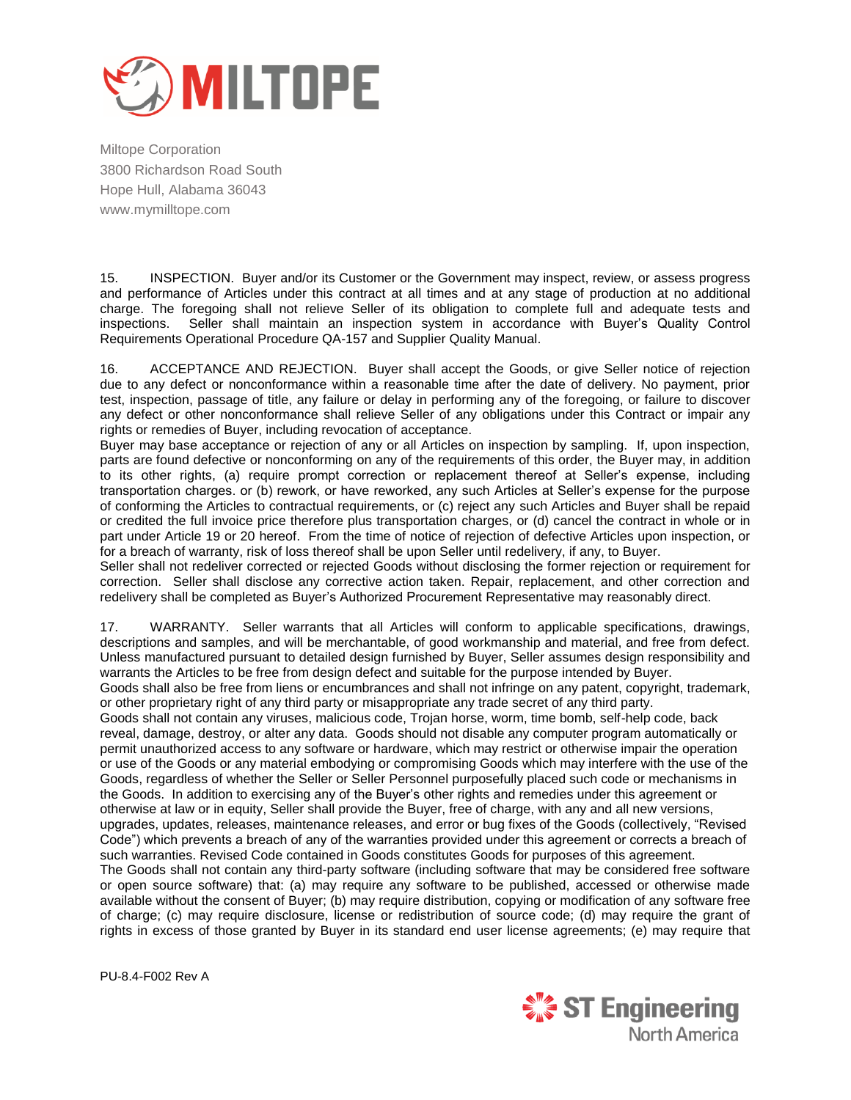

15. INSPECTION. Buyer and/or its Customer or the Government may inspect, review, or assess progress and performance of Articles under this contract at all times and at any stage of production at no additional charge. The foregoing shall not relieve Seller of its obligation to complete full and adequate tests and inspections. Seller shall maintain an inspection system in accordance with Buyer"s Quality Control Requirements Operational Procedure QA-157 and Supplier Quality Manual.

16. ACCEPTANCE AND REJECTION. Buyer shall accept the Goods, or give Seller notice of rejection due to any defect or nonconformance within a reasonable time after the date of delivery. No payment, prior test, inspection, passage of title, any failure or delay in performing any of the foregoing, or failure to discover any defect or other nonconformance shall relieve Seller of any obligations under this Contract or impair any rights or remedies of Buyer, including revocation of acceptance.

Buyer may base acceptance or rejection of any or all Articles on inspection by sampling. If, upon inspection, parts are found defective or nonconforming on any of the requirements of this order, the Buyer may, in addition to its other rights, (a) require prompt correction or replacement thereof at Seller"s expense, including transportation charges. or (b) rework, or have reworked, any such Articles at Seller"s expense for the purpose of conforming the Articles to contractual requirements, or (c) reject any such Articles and Buyer shall be repaid or credited the full invoice price therefore plus transportation charges, or (d) cancel the contract in whole or in part under Article 19 or 20 hereof. From the time of notice of rejection of defective Articles upon inspection, or for a breach of warranty, risk of loss thereof shall be upon Seller until redelivery, if any, to Buyer.

Seller shall not redeliver corrected or rejected Goods without disclosing the former rejection or requirement for correction. Seller shall disclose any corrective action taken. Repair, replacement, and other correction and redelivery shall be completed as Buyer"s Authorized Procurement Representative may reasonably direct.

17. WARRANTY. Seller warrants that all Articles will conform to applicable specifications, drawings, descriptions and samples, and will be merchantable, of good workmanship and material, and free from defect. Unless manufactured pursuant to detailed design furnished by Buyer, Seller assumes design responsibility and warrants the Articles to be free from design defect and suitable for the purpose intended by Buyer.

Goods shall also be free from liens or encumbrances and shall not infringe on any patent, copyright, trademark, or other proprietary right of any third party or misappropriate any trade secret of any third party.

Goods shall not contain any viruses, malicious code, Trojan horse, worm, time bomb, self-help code, back reveal, damage, destroy, or alter any data. Goods should not disable any computer program automatically or permit unauthorized access to any software or hardware, which may restrict or otherwise impair the operation or use of the Goods or any material embodying or compromising Goods which may interfere with the use of the Goods, regardless of whether the Seller or Seller Personnel purposefully placed such code or mechanisms in the Goods. In addition to exercising any of the Buyer"s other rights and remedies under this agreement or otherwise at law or in equity, Seller shall provide the Buyer, free of charge, with any and all new versions, upgrades, updates, releases, maintenance releases, and error or bug fixes of the Goods (collectively, "Revised Code") which prevents a breach of any of the warranties provided under this agreement or corrects a breach of such warranties. Revised Code contained in Goods constitutes Goods for purposes of this agreement. The Goods shall not contain any third-party software (including software that may be considered free software or open source software) that: (a) may require any software to be published, accessed or otherwise made available without the consent of Buyer; (b) may require distribution, copying or modification of any software free of charge; (c) may require disclosure, license or redistribution of source code; (d) may require the grant of rights in excess of those granted by Buyer in its standard end user license agreements; (e) may require that

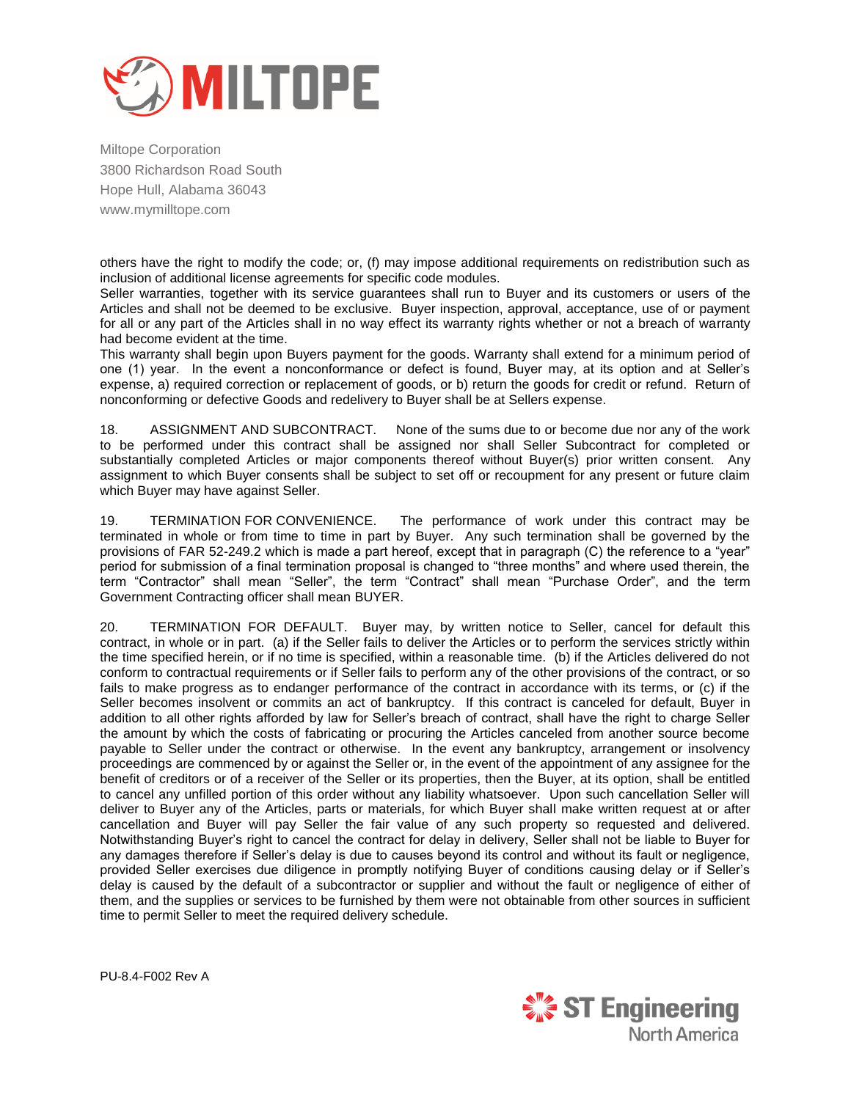

others have the right to modify the code; or, (f) may impose additional requirements on redistribution such as inclusion of additional license agreements for specific code modules.

Seller warranties, together with its service guarantees shall run to Buyer and its customers or users of the Articles and shall not be deemed to be exclusive. Buyer inspection, approval, acceptance, use of or payment for all or any part of the Articles shall in no way effect its warranty rights whether or not a breach of warranty had become evident at the time.

This warranty shall begin upon Buyers payment for the goods. Warranty shall extend for a minimum period of one (1) year. In the event a nonconformance or defect is found, Buyer may, at its option and at Seller"s expense, a) required correction or replacement of goods, or b) return the goods for credit or refund. Return of nonconforming or defective Goods and redelivery to Buyer shall be at Sellers expense.

18. ASSIGNMENT AND SUBCONTRACT. None of the sums due to or become due nor any of the work to be performed under this contract shall be assigned nor shall Seller Subcontract for completed or substantially completed Articles or major components thereof without Buyer(s) prior written consent. Any assignment to which Buyer consents shall be subject to set off or recoupment for any present or future claim which Buyer may have against Seller.

19. TERMINATION FOR CONVENIENCE. The performance of work under this contract may be terminated in whole or from time to time in part by Buyer. Any such termination shall be governed by the provisions of FAR 52-249.2 which is made a part hereof, except that in paragraph (C) the reference to a "year" period for submission of a final termination proposal is changed to "three months" and where used therein, the term "Contractor" shall mean "Seller", the term "Contract" shall mean "Purchase Order", and the term Government Contracting officer shall mean BUYER.

20. TERMINATION FOR DEFAULT. Buyer may, by written notice to Seller, cancel for default this contract, in whole or in part. (a) if the Seller fails to deliver the Articles or to perform the services strictly within the time specified herein, or if no time is specified, within a reasonable time. (b) if the Articles delivered do not conform to contractual requirements or if Seller fails to perform any of the other provisions of the contract, or so fails to make progress as to endanger performance of the contract in accordance with its terms, or (c) if the Seller becomes insolvent or commits an act of bankruptcy. If this contract is canceled for default, Buyer in addition to all other rights afforded by law for Seller"s breach of contract, shall have the right to charge Seller the amount by which the costs of fabricating or procuring the Articles canceled from another source become payable to Seller under the contract or otherwise. In the event any bankruptcy, arrangement or insolvency proceedings are commenced by or against the Seller or, in the event of the appointment of any assignee for the benefit of creditors or of a receiver of the Seller or its properties, then the Buyer, at its option, shall be entitled to cancel any unfilled portion of this order without any liability whatsoever. Upon such cancellation Seller will deliver to Buyer any of the Articles, parts or materials, for which Buyer shall make written request at or after cancellation and Buyer will pay Seller the fair value of any such property so requested and delivered. Notwithstanding Buyer"s right to cancel the contract for delay in delivery, Seller shall not be liable to Buyer for any damages therefore if Seller"s delay is due to causes beyond its control and without its fault or negligence, provided Seller exercises due diligence in promptly notifying Buyer of conditions causing delay or if Seller"s delay is caused by the default of a subcontractor or supplier and without the fault or negligence of either of them, and the supplies or services to be furnished by them were not obtainable from other sources in sufficient time to permit Seller to meet the required delivery schedule.

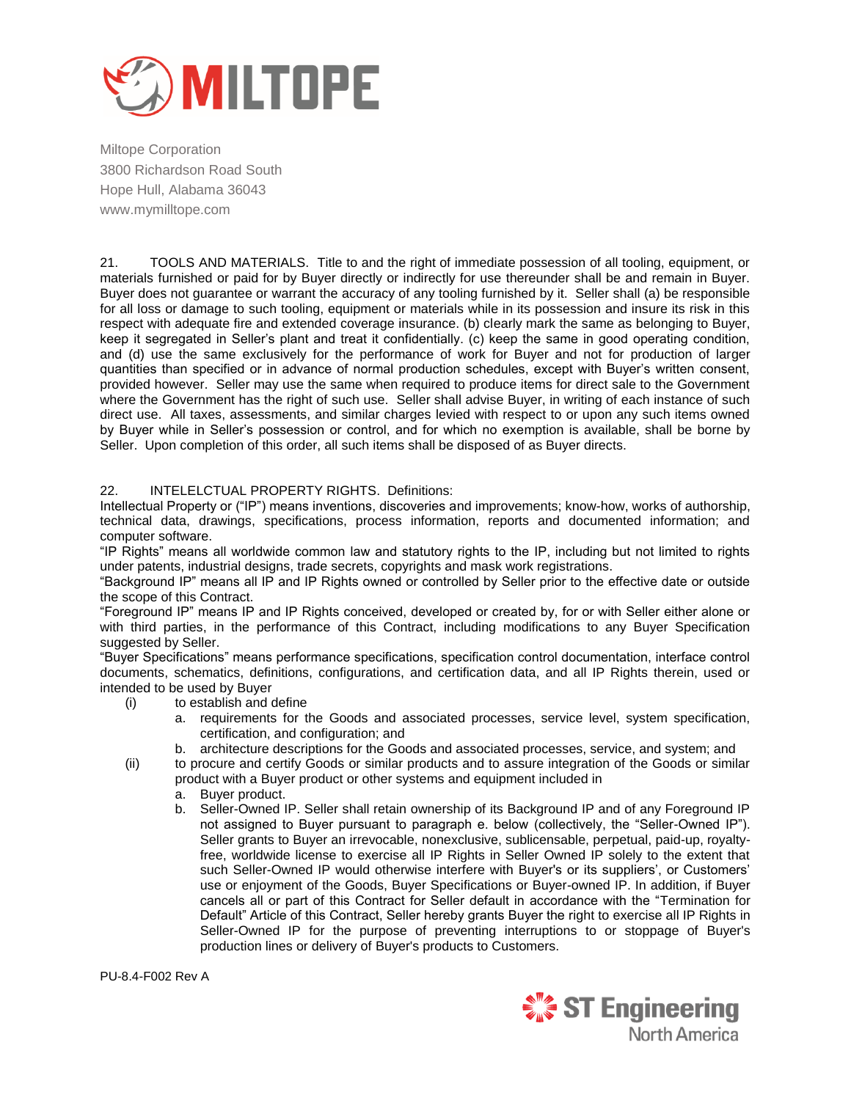

21. TOOLS AND MATERIALS. Title to and the right of immediate possession of all tooling, equipment, or materials furnished or paid for by Buyer directly or indirectly for use thereunder shall be and remain in Buyer. Buyer does not guarantee or warrant the accuracy of any tooling furnished by it. Seller shall (a) be responsible for all loss or damage to such tooling, equipment or materials while in its possession and insure its risk in this respect with adequate fire and extended coverage insurance. (b) clearly mark the same as belonging to Buyer, keep it segregated in Seller"s plant and treat it confidentially. (c) keep the same in good operating condition, and (d) use the same exclusively for the performance of work for Buyer and not for production of larger quantities than specified or in advance of normal production schedules, except with Buyer"s written consent, provided however. Seller may use the same when required to produce items for direct sale to the Government where the Government has the right of such use. Seller shall advise Buyer, in writing of each instance of such direct use. All taxes, assessments, and similar charges levied with respect to or upon any such items owned by Buyer while in Seller"s possession or control, and for which no exemption is available, shall be borne by Seller. Upon completion of this order, all such items shall be disposed of as Buyer directs.

## 22. INTELELCTUAL PROPERTY RIGHTS. Definitions:

Intellectual Property or ("IP") means inventions, discoveries and improvements; know-how, works of authorship, technical data, drawings, specifications, process information, reports and documented information; and computer software.

"IP Rights" means all worldwide common law and statutory rights to the IP, including but not limited to rights under patents, industrial designs, trade secrets, copyrights and mask work registrations.

"Background IP" means all IP and IP Rights owned or controlled by Seller prior to the effective date or outside the scope of this Contract.

"Foreground IP" means IP and IP Rights conceived, developed or created by, for or with Seller either alone or with third parties, in the performance of this Contract, including modifications to any Buyer Specification suggested by Seller.

"Buyer Specifications" means performance specifications, specification control documentation, interface control documents, schematics, definitions, configurations, and certification data, and all IP Rights therein, used or intended to be used by Buyer

- (i) to establish and define
	- a. requirements for the Goods and associated processes, service level, system specification, certification, and configuration; and
	- b. architecture descriptions for the Goods and associated processes, service, and system; and
- (ii) to procure and certify Goods or similar products and to assure integration of the Goods or similar product with a Buyer product or other systems and equipment included in
	- a. Buyer product.
	- b. Seller-Owned IP. Seller shall retain ownership of its Background IP and of any Foreground IP not assigned to Buyer pursuant to paragraph e. below (collectively, the "Seller-Owned IP"). Seller grants to Buyer an irrevocable, nonexclusive, sublicensable, perpetual, paid-up, royaltyfree, worldwide license to exercise all IP Rights in Seller Owned IP solely to the extent that such Seller-Owned IP would otherwise interfere with Buyer's or its suppliers', or Customers' use or enjoyment of the Goods, Buyer Specifications or Buyer-owned IP. In addition, if Buyer cancels all or part of this Contract for Seller default in accordance with the "Termination for Default" Article of this Contract, Seller hereby grants Buyer the right to exercise all IP Rights in Seller-Owned IP for the purpose of preventing interruptions to or stoppage of Buyer's production lines or delivery of Buyer's products to Customers.

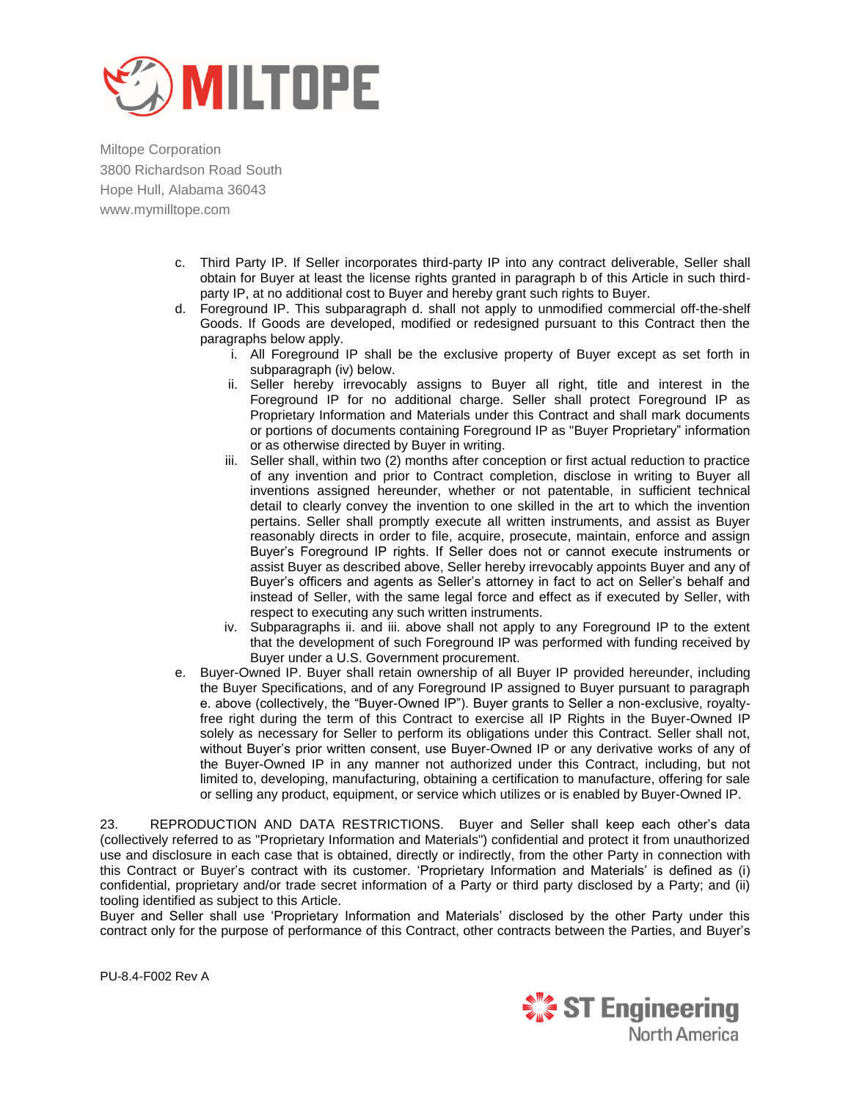

- c. Third Party IP. If Seller incorporates third-party IP into any contract deliverable, Seller shall obtain for Buyer at least the license rights granted in paragraph b of this Article in such thirdparty IP, at no additional cost to Buyer and hereby grant such rights to Buyer.
- d. Foreground IP. This subparagraph d. shall not apply to unmodified commercial off‐the‐shelf Goods. If Goods are developed, modified or redesigned pursuant to this Contract then the paragraphs below apply.
	- i. All Foreground IP shall be the exclusive property of Buyer except as set forth in subparagraph (iv) below.
	- ii. Seller hereby irrevocably assigns to Buyer all right, title and interest in the Foreground IP for no additional charge. Seller shall protect Foreground IP as Proprietary Information and Materials under this Contract and shall mark documents or portions of documents containing Foreground IP as "Buyer Proprietary" information or as otherwise directed by Buyer in writing.
	- iii. Seller shall, within two (2) months after conception or first actual reduction to practice of any invention and prior to Contract completion, disclose in writing to Buyer all inventions assigned hereunder, whether or not patentable, in sufficient technical detail to clearly convey the invention to one skilled in the art to which the invention pertains. Seller shall promptly execute all written instruments, and assist as Buyer reasonably directs in order to file, acquire, prosecute, maintain, enforce and assign Buyer"s Foreground IP rights. If Seller does not or cannot execute instruments or assist Buyer as described above, Seller hereby irrevocably appoints Buyer and any of Buyer"s officers and agents as Seller"s attorney in fact to act on Seller"s behalf and instead of Seller, with the same legal force and effect as if executed by Seller, with respect to executing any such written instruments.
	- iv. Subparagraphs ii. and iii. above shall not apply to any Foreground IP to the extent that the development of such Foreground IP was performed with funding received by Buyer under a U.S. Government procurement.
- e. Buyer-Owned IP. Buyer shall retain ownership of all Buyer IP provided hereunder, including the Buyer Specifications, and of any Foreground IP assigned to Buyer pursuant to paragraph e. above (collectively, the "Buyer-Owned IP"). Buyer grants to Seller a non-exclusive, royaltyfree right during the term of this Contract to exercise all IP Rights in the Buyer-Owned IP solely as necessary for Seller to perform its obligations under this Contract. Seller shall not, without Buyer"s prior written consent, use Buyer-Owned IP or any derivative works of any of the Buyer-Owned IP in any manner not authorized under this Contract, including, but not limited to, developing, manufacturing, obtaining a certification to manufacture, offering for sale or selling any product, equipment, or service which utilizes or is enabled by Buyer-Owned IP.

23. REPRODUCTION AND DATA RESTRICTIONS. Buyer and Seller shall keep each other"s data (collectively referred to as "Proprietary Information and Materials") confidential and protect it from unauthorized use and disclosure in each case that is obtained, directly or indirectly, from the other Party in connection with this Contract or Buyer"s contract with its customer. "Proprietary Information and Materials" is defined as (i) confidential, proprietary and/or trade secret information of a Party or third party disclosed by a Party; and (ii) tooling identified as subject to this Article.

Buyer and Seller shall use "Proprietary Information and Materials" disclosed by the other Party under this contract only for the purpose of performance of this Contract, other contracts between the Parties, and Buyer"s

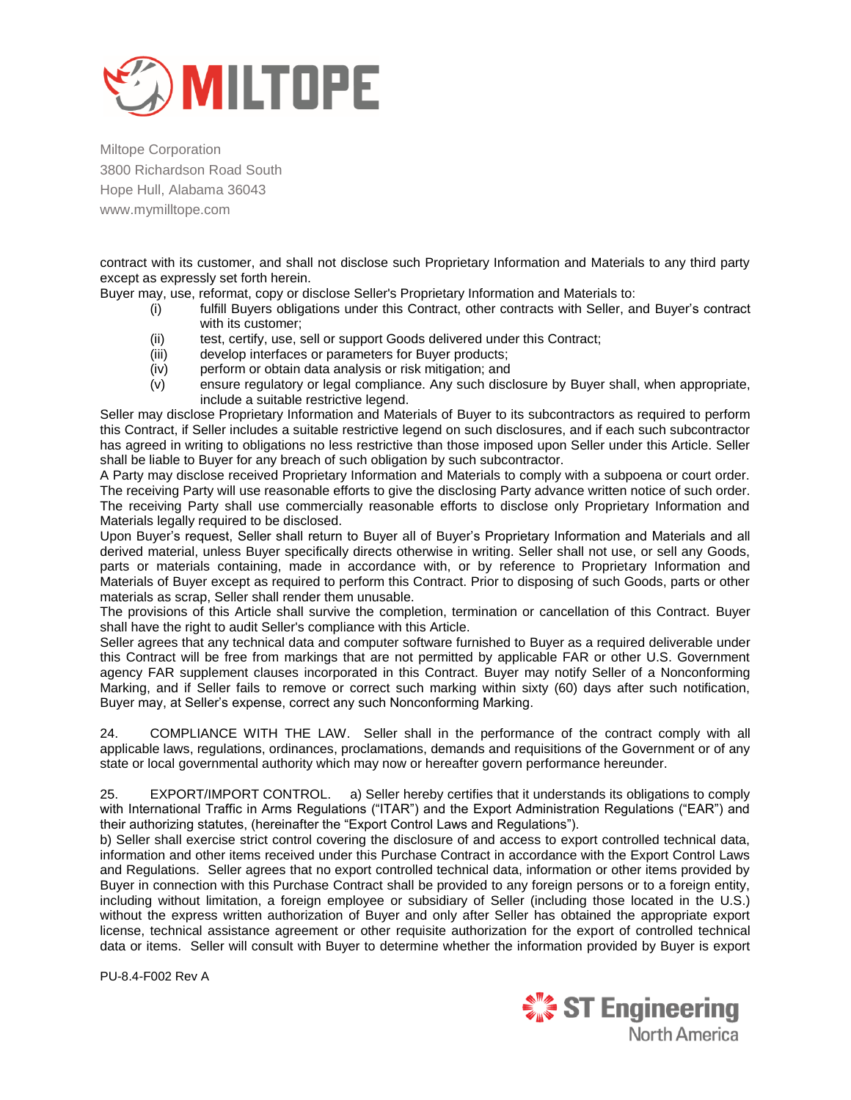

contract with its customer, and shall not disclose such Proprietary Information and Materials to any third party except as expressly set forth herein.

Buyer may, use, reformat, copy or disclose Seller's Proprietary Information and Materials to:

- (i) fulfill Buyers obligations under this Contract, other contracts with Seller, and Buyer"s contract with its customer;
- (ii) test, certify, use, sell or support Goods delivered under this Contract;<br>(iii) develop interfaces or parameters for Buyer products;
- develop interfaces or parameters for Buyer products;
- (iv) perform or obtain data analysis or risk mitigation; and
- (v) ensure regulatory or legal compliance. Any such disclosure by Buyer shall, when appropriate, include a suitable restrictive legend.

Seller may disclose Proprietary Information and Materials of Buyer to its subcontractors as required to perform this Contract, if Seller includes a suitable restrictive legend on such disclosures, and if each such subcontractor has agreed in writing to obligations no less restrictive than those imposed upon Seller under this Article. Seller shall be liable to Buyer for any breach of such obligation by such subcontractor.

A Party may disclose received Proprietary Information and Materials to comply with a subpoena or court order. The receiving Party will use reasonable efforts to give the disclosing Party advance written notice of such order. The receiving Party shall use commercially reasonable efforts to disclose only Proprietary Information and Materials legally required to be disclosed.

Upon Buyer"s request, Seller shall return to Buyer all of Buyer"s Proprietary Information and Materials and all derived material, unless Buyer specifically directs otherwise in writing. Seller shall not use, or sell any Goods, parts or materials containing, made in accordance with, or by reference to Proprietary Information and Materials of Buyer except as required to perform this Contract. Prior to disposing of such Goods, parts or other materials as scrap, Seller shall render them unusable.

The provisions of this Article shall survive the completion, termination or cancellation of this Contract. Buyer shall have the right to audit Seller's compliance with this Article.

Seller agrees that any technical data and computer software furnished to Buyer as a required deliverable under this Contract will be free from markings that are not permitted by applicable FAR or other U.S. Government agency FAR supplement clauses incorporated in this Contract. Buyer may notify Seller of a Nonconforming Marking, and if Seller fails to remove or correct such marking within sixty (60) days after such notification, Buyer may, at Seller"s expense, correct any such Nonconforming Marking.

24. COMPLIANCE WITH THE LAW. Seller shall in the performance of the contract comply with all applicable laws, regulations, ordinances, proclamations, demands and requisitions of the Government or of any state or local governmental authority which may now or hereafter govern performance hereunder.

25. EXPORT/IMPORT CONTROL. a) Seller hereby certifies that it understands its obligations to comply with International Traffic in Arms Regulations ("ITAR") and the Export Administration Regulations ("EAR") and their authorizing statutes, (hereinafter the "Export Control Laws and Regulations").

b) Seller shall exercise strict control covering the disclosure of and access to export controlled technical data, information and other items received under this Purchase Contract in accordance with the Export Control Laws and Regulations. Seller agrees that no export controlled technical data, information or other items provided by Buyer in connection with this Purchase Contract shall be provided to any foreign persons or to a foreign entity, including without limitation, a foreign employee or subsidiary of Seller (including those located in the U.S.) without the express written authorization of Buyer and only after Seller has obtained the appropriate export license, technical assistance agreement or other requisite authorization for the export of controlled technical data or items. Seller will consult with Buyer to determine whether the information provided by Buyer is export

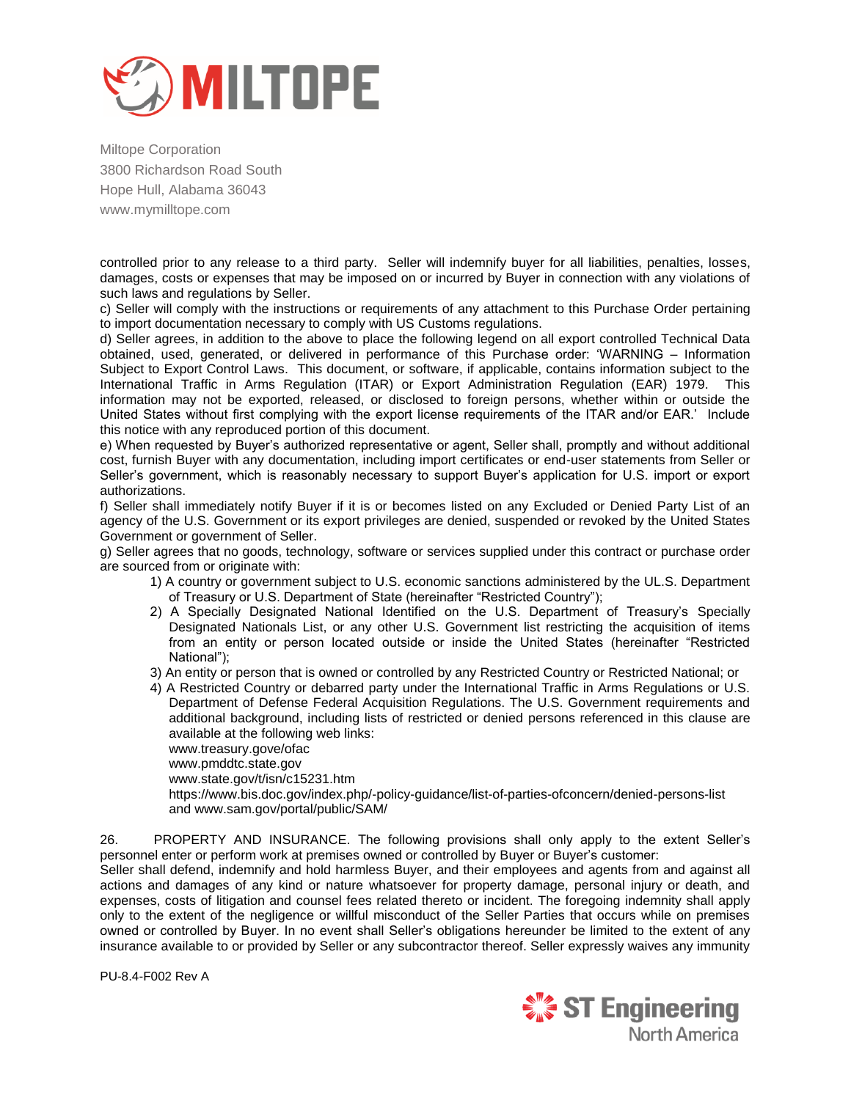

controlled prior to any release to a third party. Seller will indemnify buyer for all liabilities, penalties, losses, damages, costs or expenses that may be imposed on or incurred by Buyer in connection with any violations of such laws and regulations by Seller.

c) Seller will comply with the instructions or requirements of any attachment to this Purchase Order pertaining to import documentation necessary to comply with US Customs regulations.

d) Seller agrees, in addition to the above to place the following legend on all export controlled Technical Data obtained, used, generated, or delivered in performance of this Purchase order: "WARNING – Information Subject to Export Control Laws. This document, or software, if applicable, contains information subject to the International Traffic in Arms Regulation (ITAR) or Export Administration Regulation (EAR) 1979. This information may not be exported, released, or disclosed to foreign persons, whether within or outside the United States without first complying with the export license requirements of the ITAR and/or EAR." Include this notice with any reproduced portion of this document.

e) When requested by Buyer"s authorized representative or agent, Seller shall, promptly and without additional cost, furnish Buyer with any documentation, including import certificates or end-user statements from Seller or Seller's government, which is reasonably necessary to support Buyer's application for U.S. import or export authorizations.

f) Seller shall immediately notify Buyer if it is or becomes listed on any Excluded or Denied Party List of an agency of the U.S. Government or its export privileges are denied, suspended or revoked by the United States Government or government of Seller.

g) Seller agrees that no goods, technology, software or services supplied under this contract or purchase order are sourced from or originate with:

- 1) A country or government subject to U.S. economic sanctions administered by the UL.S. Department of Treasury or U.S. Department of State (hereinafter "Restricted Country");
- 2) A Specially Designated National Identified on the U.S. Department of Treasury"s Specially Designated Nationals List, or any other U.S. Government list restricting the acquisition of items from an entity or person located outside or inside the United States (hereinafter "Restricted National");
- 3) An entity or person that is owned or controlled by any Restricted Country or Restricted National; or
- 4) A Restricted Country or debarred party under the International Traffic in Arms Regulations or U.S. Department of Defense Federal Acquisition Regulations. The U.S. Government requirements and additional background, including lists of restricted or denied persons referenced in this clause are available at the following web links:
	- www.treasury.gove/ofac

www.pmddtc.state.gov

www.state.gov/t/isn/c15231.htm

https://www.bis.doc.gov/index.php/-policy-guidance/list-of-parties-ofconcern/denied-persons-list and www.sam.gov/portal/public/SAM/

26. PROPERTY AND INSURANCE. The following provisions shall only apply to the extent Seller"s personnel enter or perform work at premises owned or controlled by Buyer or Buyer's customer:

Seller shall defend, indemnify and hold harmless Buyer, and their employees and agents from and against all actions and damages of any kind or nature whatsoever for property damage, personal injury or death, and expenses, costs of litigation and counsel fees related thereto or incident. The foregoing indemnity shall apply only to the extent of the negligence or willful misconduct of the Seller Parties that occurs while on premises owned or controlled by Buyer. In no event shall Seller"s obligations hereunder be limited to the extent of any insurance available to or provided by Seller or any subcontractor thereof. Seller expressly waives any immunity

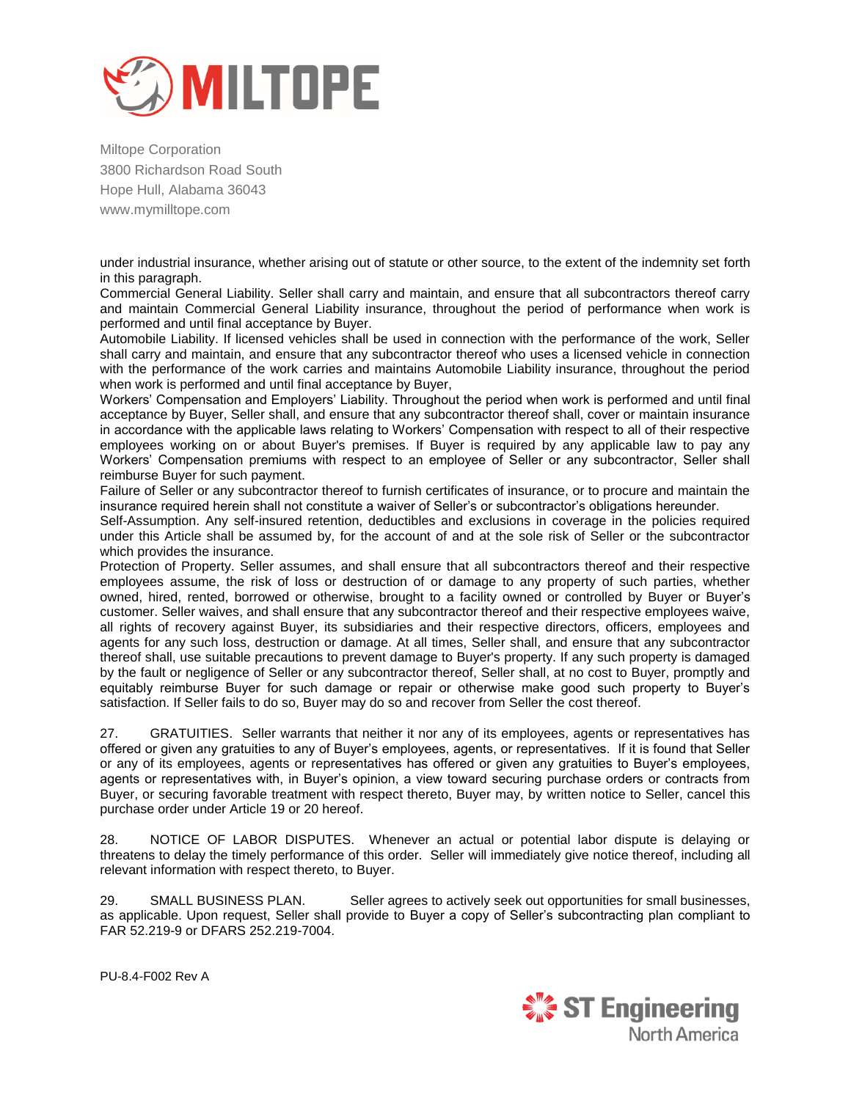

under industrial insurance, whether arising out of statute or other source, to the extent of the indemnity set forth in this paragraph.

Commercial General Liability. Seller shall carry and maintain, and ensure that all subcontractors thereof carry and maintain Commercial General Liability insurance, throughout the period of performance when work is performed and until final acceptance by Buyer.

Automobile Liability. If licensed vehicles shall be used in connection with the performance of the work, Seller shall carry and maintain, and ensure that any subcontractor thereof who uses a licensed vehicle in connection with the performance of the work carries and maintains Automobile Liability insurance, throughout the period when work is performed and until final acceptance by Buyer,

Workers" Compensation and Employers" Liability. Throughout the period when work is performed and until final acceptance by Buyer, Seller shall, and ensure that any subcontractor thereof shall, cover or maintain insurance in accordance with the applicable laws relating to Workers" Compensation with respect to all of their respective employees working on or about Buyer's premises. If Buyer is required by any applicable law to pay any Workers" Compensation premiums with respect to an employee of Seller or any subcontractor, Seller shall reimburse Buyer for such payment.

Failure of Seller or any subcontractor thereof to furnish certificates of insurance, or to procure and maintain the insurance required herein shall not constitute a waiver of Seller"s or subcontractor"s obligations hereunder.

Self-Assumption. Any self-insured retention, deductibles and exclusions in coverage in the policies required under this Article shall be assumed by, for the account of and at the sole risk of Seller or the subcontractor which provides the insurance.

Protection of Property. Seller assumes, and shall ensure that all subcontractors thereof and their respective employees assume, the risk of loss or destruction of or damage to any property of such parties, whether owned, hired, rented, borrowed or otherwise, brought to a facility owned or controlled by Buyer or Buyer"s customer. Seller waives, and shall ensure that any subcontractor thereof and their respective employees waive, all rights of recovery against Buyer, its subsidiaries and their respective directors, officers, employees and agents for any such loss, destruction or damage. At all times, Seller shall, and ensure that any subcontractor thereof shall, use suitable precautions to prevent damage to Buyer's property. If any such property is damaged by the fault or negligence of Seller or any subcontractor thereof, Seller shall, at no cost to Buyer, promptly and equitably reimburse Buyer for such damage or repair or otherwise make good such property to Buyer"s satisfaction. If Seller fails to do so, Buyer may do so and recover from Seller the cost thereof.

27. GRATUITIES. Seller warrants that neither it nor any of its employees, agents or representatives has offered or given any gratuities to any of Buyer"s employees, agents, or representatives. If it is found that Seller or any of its employees, agents or representatives has offered or given any gratuities to Buyer"s employees, agents or representatives with, in Buyer's opinion, a view toward securing purchase orders or contracts from Buyer, or securing favorable treatment with respect thereto, Buyer may, by written notice to Seller, cancel this purchase order under Article 19 or 20 hereof.

28. NOTICE OF LABOR DISPUTES. Whenever an actual or potential labor dispute is delaying or threatens to delay the timely performance of this order. Seller will immediately give notice thereof, including all relevant information with respect thereto, to Buyer.

29. SMALL BUSINESS PLAN. Seller agrees to actively seek out opportunities for small businesses, as applicable. Upon request, Seller shall provide to Buyer a copy of Seller"s subcontracting plan compliant to FAR 52.219-9 or DFARS 252.219-7004.

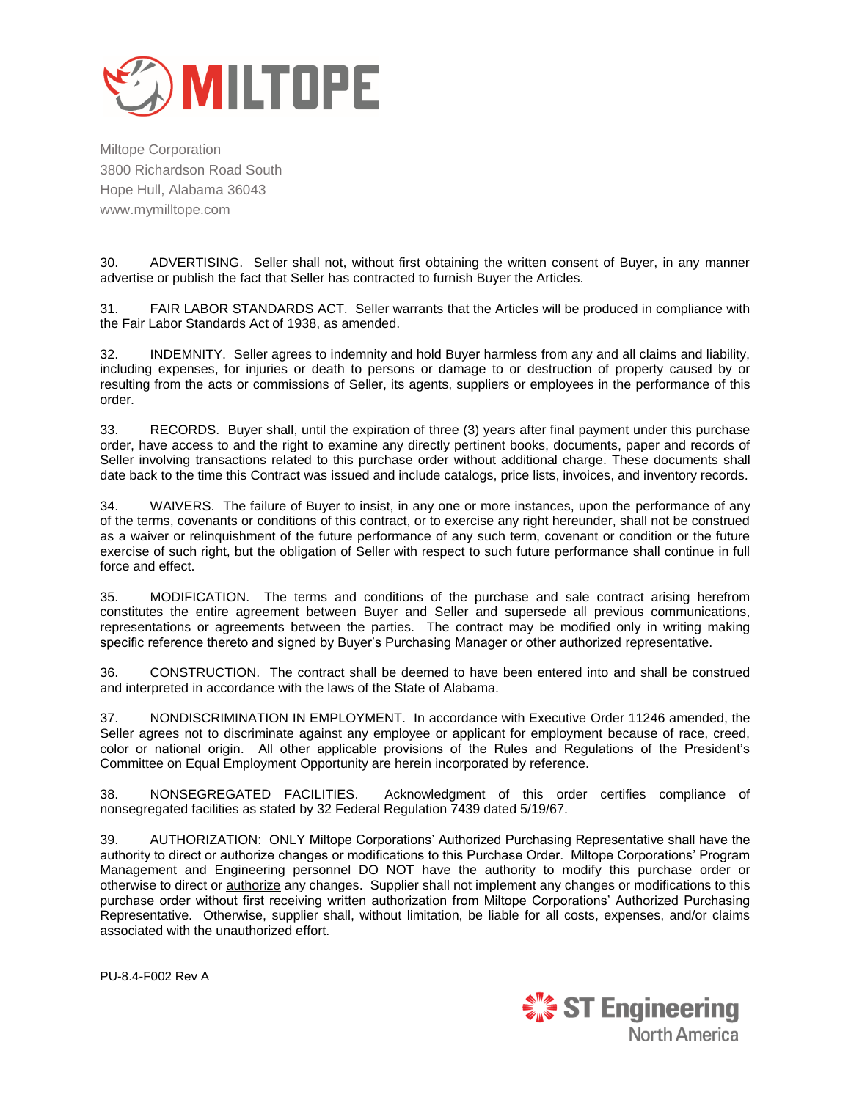

30. ADVERTISING. Seller shall not, without first obtaining the written consent of Buyer, in any manner advertise or publish the fact that Seller has contracted to furnish Buyer the Articles.

31. FAIR LABOR STANDARDS ACT. Seller warrants that the Articles will be produced in compliance with the Fair Labor Standards Act of 1938, as amended.

32. INDEMNITY. Seller agrees to indemnity and hold Buyer harmless from any and all claims and liability, including expenses, for injuries or death to persons or damage to or destruction of property caused by or resulting from the acts or commissions of Seller, its agents, suppliers or employees in the performance of this order.

33. RECORDS. Buyer shall, until the expiration of three (3) years after final payment under this purchase order, have access to and the right to examine any directly pertinent books, documents, paper and records of Seller involving transactions related to this purchase order without additional charge. These documents shall date back to the time this Contract was issued and include catalogs, price lists, invoices, and inventory records.

34. WAIVERS. The failure of Buyer to insist, in any one or more instances, upon the performance of any of the terms, covenants or conditions of this contract, or to exercise any right hereunder, shall not be construed as a waiver or relinquishment of the future performance of any such term, covenant or condition or the future exercise of such right, but the obligation of Seller with respect to such future performance shall continue in full force and effect.

35. MODIFICATION. The terms and conditions of the purchase and sale contract arising herefrom constitutes the entire agreement between Buyer and Seller and supersede all previous communications, representations or agreements between the parties. The contract may be modified only in writing making specific reference thereto and signed by Buyer"s Purchasing Manager or other authorized representative.

36. CONSTRUCTION. The contract shall be deemed to have been entered into and shall be construed and interpreted in accordance with the laws of the State of Alabama.

37. NONDISCRIMINATION IN EMPLOYMENT. In accordance with Executive Order 11246 amended, the Seller agrees not to discriminate against any employee or applicant for employment because of race, creed, color or national origin. All other applicable provisions of the Rules and Regulations of the President"s Committee on Equal Employment Opportunity are herein incorporated by reference.

38. NONSEGREGATED FACILITIES. Acknowledgment of this order certifies compliance of nonsegregated facilities as stated by 32 Federal Regulation 7439 dated 5/19/67.

39. AUTHORIZATION: ONLY Miltope Corporations" Authorized Purchasing Representative shall have the authority to direct or authorize changes or modifications to this Purchase Order. Miltope Corporations" Program Management and Engineering personnel DO NOT have the authority to modify this purchase order or otherwise to direct or authorize any changes. Supplier shall not implement any changes or modifications to this purchase order without first receiving written authorization from Miltope Corporations" Authorized Purchasing Representative. Otherwise, supplier shall, without limitation, be liable for all costs, expenses, and/or claims associated with the unauthorized effort.